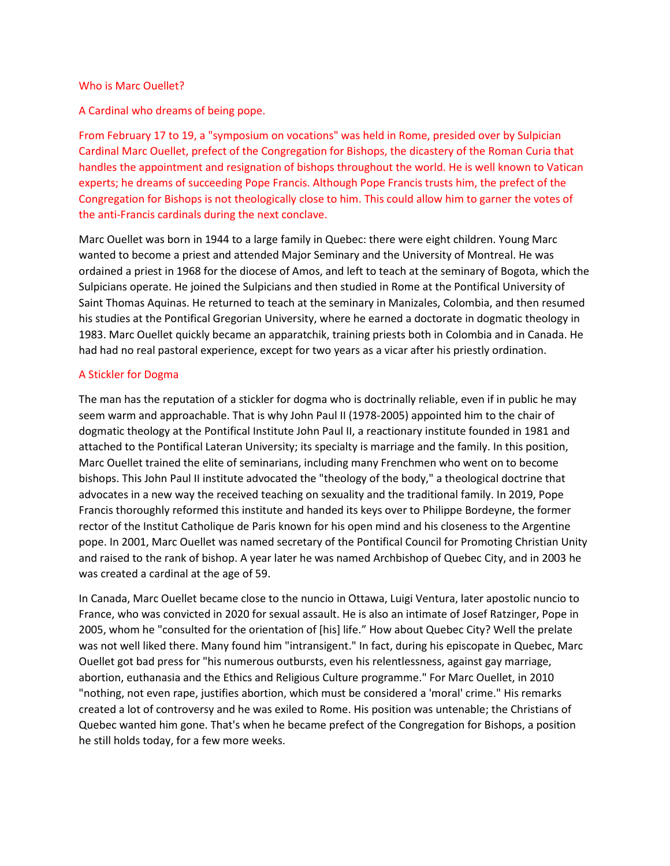## Who is Marc Ouellet?

A Cardinal who dreams of being pope.

From February 17 to 19, a "symposium on vocations" was held in Rome, presided over by Sulpician Cardinal Marc Ouellet, prefect of the Congregation for Bishops, the dicastery of the Roman Curia that handles the appointment and resignation of bishops throughout the world. He is well known to Vatican experts; he dreams of succeeding Pope Francis. Although Pope Francis trusts him, the prefect of the Congregation for Bishops is not theologically close to him. This could allow him to garner the votes of the anti-Francis cardinals during the next conclave.

Marc Ouellet was born in 1944 to a large family in Quebec: there were eight children. Young Marc wanted to become a priest and attended Major Seminary and the University of Montreal. He was ordained a priest in 1968 for the diocese of Amos, and left to teach at the seminary of Bogota, which the Sulpicians operate. He joined the Sulpicians and then studied in Rome at the Pontifical University of Saint Thomas Aquinas. He returned to teach at the seminary in Manizales, Colombia, and then resumed his studies at the Pontifical Gregorian University, where he earned a doctorate in dogmatic theology in 1983. Marc Ouellet quickly became an apparatchik, training priests both in Colombia and in Canada. He had had no real pastoral experience, except for two years as a vicar after his priestly ordination.

## A Stickler for Dogma

The man has the reputation of a stickler for dogma who is doctrinally reliable, even if in public he may seem warm and approachable. That is why John Paul II (1978-2005) appointed him to the chair of dogmatic theology at the Pontifical Institute John Paul II, a reactionary institute founded in 1981 and attached to the Pontifical Lateran University; its specialty is marriage and the family. In this position, Marc Ouellet trained the elite of seminarians, including many Frenchmen who went on to become bishops. This John Paul II institute advocated the "theology of the body," a theological doctrine that advocates in a new way the received teaching on sexuality and the traditional family. In 2019, Pope Francis thoroughly reformed this institute and handed its keys over to Philippe Bordeyne, the former rector of the Institut Catholique de Paris known for his open mind and his closeness to the Argentine pope. In 2001, Marc Ouellet was named secretary of the Pontifical Council for Promoting Christian Unity and raised to the rank of bishop. A year later he was named Archbishop of Quebec City, and in 2003 he was created a cardinal at the age of 59.

In Canada, Marc Ouellet became close to the nuncio in Ottawa, Luigi Ventura, later apostolic nuncio to France, who was convicted in 2020 for sexual assault. He is also an intimate of Josef Ratzinger, Pope in 2005, whom he "consulted for the orientation of [his] life." How about Quebec City? Well the prelate was not well liked there. Many found him "intransigent." In fact, during his episcopate in Quebec, Marc Ouellet got bad press for "his numerous outbursts, even his relentlessness, against gay marriage, abortion, euthanasia and the Ethics and Religious Culture programme." For Marc Ouellet, in 2010 "nothing, not even rape, justifies abortion, which must be considered a 'moral' crime." His remarks created a lot of controversy and he was exiled to Rome. His position was untenable; the Christians of Quebec wanted him gone. That's when he became prefect of the Congregation for Bishops, a position he still holds today, for a few more weeks.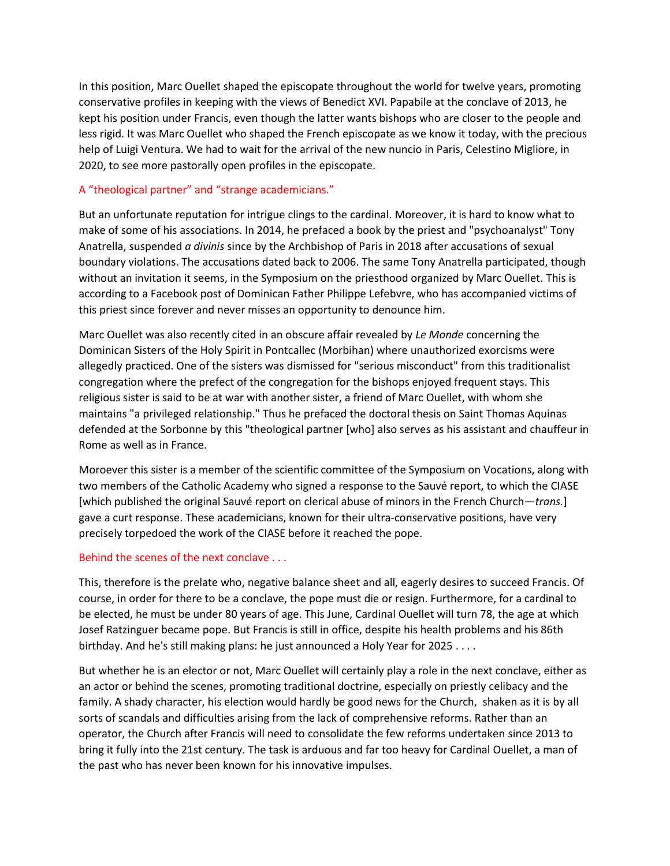In this position, Marc Ouellet shaped the episcopate throughout the world for twelve years, promoting conservative profiles in keeping with the views of Benedict XVI. Papabile at the conclave of 2013, he kept his position under Francis, even though the latter wants bishops who are closer to the people and less rigid. It was Marc Ouellet who shaped the French episcopate as we know it today, with the precious help of Luigi Ventura. We had to wait for the arrival of the new nuncio in Paris, Celestino Migliore, in 2020, to see more pastorally open profiles in the episcopate.

## A "theological partner" and "strange academicians."

But an unfortunate reputation for intrigue clings to the cardinal. Moreover, it is hard to know what to make of some of his associations. In 2014, he prefaced a book by the priest and "psychoanalyst" Tony Anatrella, suspended *a divinis* since by the Archbishop of Paris in 2018 after accusations of sexual boundary violations. The accusations dated back to 2006. The same Tony Anatrella participated, though without an invitation it seems, in the Symposium on the priesthood organized by Marc Ouellet. This is according to a Facebook post of Dominican Father Philippe Lefebvre, who has accompanied victims of this priest since forever and never misses an opportunity to denounce him.

Marc Ouellet was also recently cited in an obscure affair revealed by *Le Monde* concerning the Dominican Sisters of the Holy Spirit in Pontcallec (Morbihan) where unauthorized exorcisms were allegedly practiced. One of the sisters was dismissed for "serious misconduct" from this traditionalist congregation where the prefect of the congregation for the bishops enjoyed frequent stays. This religious sister is said to be at war with another sister, a friend of Marc Ouellet, with whom she maintains "a privileged relationship." Thus he prefaced the doctoral thesis on Saint Thomas Aquinas defended at the Sorbonne by this "theological partner [who] also serves as his assistant and chauffeur in Rome as well as in France.

Moroever this sister is a member of the scientific committee of the Symposium on Vocations, along with two members of the Catholic Academy who signed a response to the Sauvé report, to which the CIASE [which published the original Sauvé report on clerical abuse of minors in the French Church—*trans.*] gave a curt response. These academicians, known for their ultra-conservative positions, have very precisely torpedoed the work of the CIASE before it reached the pope.

## Behind the scenes of the next conclave . . .

This, therefore is the prelate who, negative balance sheet and all, eagerly desires to succeed Francis. Of course, in order for there to be a conclave, the pope must die or resign. Furthermore, for a cardinal to be elected, he must be under 80 years of age. This June, Cardinal Ouellet will turn 78, the age at which Josef Ratzinguer became pope. But Francis is still in office, despite his health problems and his 86th birthday. And he's still making plans: he just announced a Holy Year for 2025 . . . .

But whether he is an elector or not, Marc Ouellet will certainly play a role in the next conclave, either as an actor or behind the scenes, promoting traditional doctrine, especially on priestly celibacy and the family. A shady character, his election would hardly be good news for the Church, shaken as it is by all sorts of scandals and difficulties arising from the lack of comprehensive reforms. Rather than an operator, the Church after Francis will need to consolidate the few reforms undertaken since 2013 to bring it fully into the 21st century. The task is arduous and far too heavy for Cardinal Ouellet, a man of the past who has never been known for his innovative impulses.